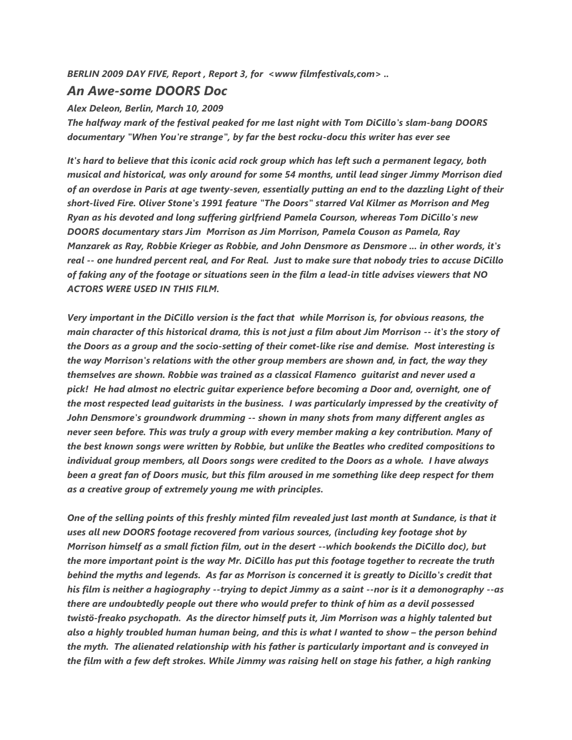*BERLIN 2009 DAY FIVE, Report , Report 3, for <www filmfestivals,com> ..*

## *An Awe-some DOORS Doc*

*Alex Deleon, Berlin, March 10, 2009*

*The halfway mark of the festival peaked for me last night with Tom DiCillo's slam-bang DOORS documentary "When You're strange", by far the best rocku-docu this writer has ever see*

*It's hard to believe that this iconic acid rock group which has left such a permanent legacy, both musical and historical, was only around for some 54 months, until lead singer Jimmy Morrison died of an overdose in Paris at age twenty-seven, essentially putting an end to the dazzling Light of their short-lived Fire. Oliver Stone's 1991 feature "The Doors" starred Val Kilmer as Morrison and Meg Ryan as his devoted and long suffering girlfriend Pamela Courson, whereas Tom DiCillo's new DOORS documentary stars Jim Morrison as Jim Morrison, Pamela Couson as Pamela, Ray Manzarek as Ray, Robbie Krieger as Robbie, and John Densmore as Densmore ... in other words, it's real -- one hundred percent real, and For Real. Just to make sure that nobody tries to accuse DiCillo of faking any of the footage or situations seen in the film a lead-in title advises viewers that NO ACTORS WERE USED IN THIS FILM.* 

*Very important in the DiCillo version is the fact that while Morrison is, for obvious reasons, the main character of this historical drama, this is not just a film about Jim Morrison -- it's the story of the Doors as a group and the socio-setting of their comet-like rise and demise. Most interesting is the way Morrison's relations with the other group members are shown and, in fact, the way they themselves are shown. Robbie was trained as a classical Flamenco guitarist and never used a pick! He had almost no electric guitar experience before becoming a Door and, overnight, one of the most respected lead guitarists in the business. I was particularly impressed by the creativity of John Densmore's groundwork drumming -- shown in many shots from many different angles as never seen before. This was truly a group with every member making a key contribution. Many of the best known songs were written by Robbie, but unlike the Beatles who credited compositions to individual group members, all Doors songs were credited to the Doors as a whole. I have always been a great fan of Doors music, but this film aroused in me something like deep respect for them as a creative group of extremely young me with principles.*

*One of the selling points of this freshly minted film revealed just last month at Sundance, is that it uses all new DOORS footage recovered from various sources, (including key footage shot by Morrison himself as a small fiction film, out in the desert --which bookends the DiCillo doc), but the more important point is the way Mr. DiCillo has put this footage together to recreate the truth behind the myths and legends. As far as Morrison is concerned it is greatly to Dicillo's credit that his film is neither a hagiography --trying to depict Jimmy as a saint --nor is it a demonography --as there are undoubtedly people out there who would prefer to think of him as a devil possessed twistö-freako psychopath. As the director himself puts it, Jim Morrison was a highly talented but also a highly troubled human human being, and this is what I wanted to show - the person behind the myth. The alienated relationship with his father is particularly important and is conveyed in the film with a few deft strokes. While Jimmy was raising hell on stage his father, a high ranking*